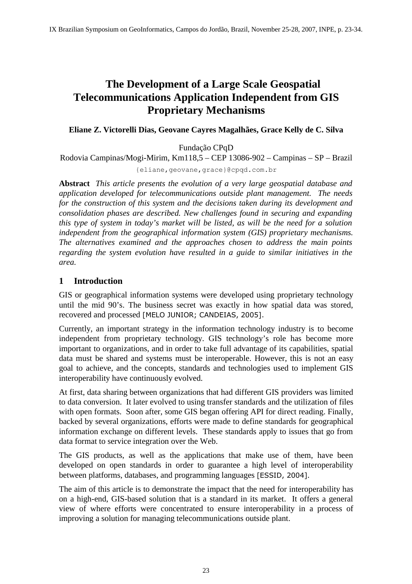# **The Development of a Large Scale Geospatial Telecommunications Application Independent from GIS Proprietary Mechanisms**

### **Eliane Z. Victorelli Dias, Geovane Cayres Magalhães, Grace Kelly de C. Silva**

Fundação CPqD

Rodovia Campinas/Mogi-Mirim, Km118,5 – CEP 13086-902 – Campinas – SP – Brazil

{eliane,geovane,grace}@cpqd.com.br

**Abstract** *This article presents the evolution of a very large geospatial database and application developed for telecommunications outside plant management. The needs for the construction of this system and the decisions taken during its development and consolidation phases are described. New challenges found in securing and expanding this type of system in today's market will be listed, as will be the need for a solution independent from the geographical information system (GIS) proprietary mechanisms. The alternatives examined and the approaches chosen to address the main points regarding the system evolution have resulted in a guide to similar initiatives in the area.*

## **1 Introduction**

GIS or geographical information systems were developed using proprietary technology until the mid 90's. The business secret was exactly in how spatial data was stored, recovered and processed [MELO JUNIOR; CANDEIAS, 2005].

Currently, an important strategy in the information technology industry is to become independent from proprietary technology. GIS technology's role has become more important to organizations, and in order to take full advantage of its capabilities, spatial data must be shared and systems must be interoperable. However, this is not an easy goal to achieve, and the concepts, standards and technologies used to implement GIS interoperability have continuously evolved.

At first, data sharing between organizations that had different GIS providers was limited to data conversion. It later evolved to using transfer standards and the utilization of files with open formats. Soon after, some GIS began offering API for direct reading. Finally, backed by several organizations, efforts were made to define standards for geographical information exchange on different levels. These standards apply to issues that go from data format to service integration over the Web.

The GIS products, as well as the applications that make use of them, have been developed on open standards in order to guarantee a high level of interoperability between platforms, databases, and programming languages [ESSID, 2004].

The aim of this article is to demonstrate the impact that the need for interoperability has on a high-end, GIS-based solution that is a standard in its market. It offers a general view of where efforts were concentrated to ensure interoperability in a process of improving a solution for managing telecommunications outside plant.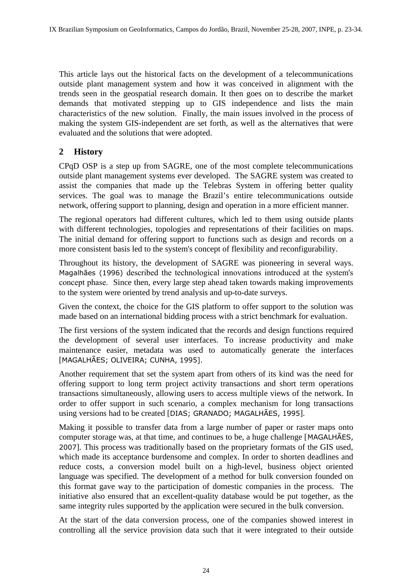This article lays out the historical facts on the development of a telecommunications outside plant management system and how it was conceived in alignment with the trends seen in the geospatial research domain. It then goes on to describe the market demands that motivated stepping up to GIS independence and lists the main characteristics of the new solution. Finally, the main issues involved in the process of making the system GIS-independent are set forth, as well as the alternatives that were evaluated and the solutions that were adopted.

## **2 History**

CPqD OSP is a step up from SAGRE, one of the most complete telecommunications outside plant management systems ever developed. The SAGRE system was created to assist the companies that made up the Telebras System in offering better quality services. The goal was to manage the Brazil's entire telecommunications outside network, offering support to planning, design and operation in a more efficient manner.

The regional operators had different cultures, which led to them using outside plants with different technologies, topologies and representations of their facilities on maps. The initial demand for offering support to functions such as design and records on a more consistent basis led to the system's concept of flexibility and reconfigurability.

Throughout its history, the development of SAGRE was pioneering in several ways. Magalhães (1996) described the technological innovations introduced at the system's concept phase. Since then, every large step ahead taken towards making improvements to the system were oriented by trend analysis and up-to-date surveys.

Given the context, the choice for the GIS platform to offer support to the solution was made based on an international bidding process with a strict benchmark for evaluation.

The first versions of the system indicated that the records and design functions required the development of several user interfaces. To increase productivity and make maintenance easier, metadata was used to automatically generate the interfaces [MAGALHÃES; OLIVEIRA; CUNHA, 1995].

Another requirement that set the system apart from others of its kind was the need for offering support to long term project activity transactions and short term operations transactions simultaneously, allowing users to access multiple views of the network. In order to offer support in such scenario, a complex mechanism for long transactions using versions had to be created [DIAS; GRANADO; MAGALHÃES, 1995].

Making it possible to transfer data from a large number of paper or raster maps onto computer storage was, at that time, and continues to be, a huge challenge [MAGALHÃES, 2007]. This process was traditionally based on the proprietary formats of the GIS used, which made its acceptance burdensome and complex. In order to shorten deadlines and reduce costs, a conversion model built on a high-level, business object oriented language was specified. The development of a method for bulk conversion founded on this format gave way to the participation of domestic companies in the process. The initiative also ensured that an excellent-quality database would be put together, as the same integrity rules supported by the application were secured in the bulk conversion.

At the start of the data conversion process, one of the companies showed interest in controlling all the service provision data such that it were integrated to their outside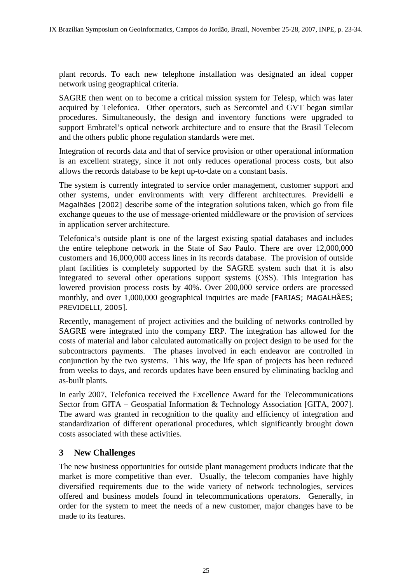plant records. To each new telephone installation was designated an ideal copper network using geographical criteria.

SAGRE then went on to become a critical mission system for Telesp, which was later acquired by Telefonica. Other operators, such as Sercomtel and GVT began similar procedures. Simultaneously, the design and inventory functions were upgraded to support Embratel's optical network architecture and to ensure that the Brasil Telecom and the others public phone regulation standards were met.

Integration of records data and that of service provision or other operational information is an excellent strategy, since it not only reduces operational process costs, but also allows the records database to be kept up-to-date on a constant basis.

The system is currently integrated to service order management, customer support and other systems, under environments with very different architectures. Previdelli e Magalhães [2002] describe some of the integration solutions taken, which go from file exchange queues to the use of message-oriented middleware or the provision of services in application server architecture.

Telefonica's outside plant is one of the largest existing spatial databases and includes the entire telephone network in the State of Sao Paulo. There are over 12,000,000 customers and 16,000,000 access lines in its records database. The provision of outside plant facilities is completely supported by the SAGRE system such that it is also integrated to several other operations support systems (OSS). This integration has lowered provision process costs by 40%. Over 200,000 service orders are processed monthly, and over 1,000,000 geographical inquiries are made [FARIAS; MAGALHÃES; PREVIDELLI, 2005].

Recently, management of project activities and the building of networks controlled by SAGRE were integrated into the company ERP. The integration has allowed for the costs of material and labor calculated automatically on project design to be used for the subcontractors payments. The phases involved in each endeavor are controlled in conjunction by the two systems. This way, the life span of projects has been reduced from weeks to days, and records updates have been ensured by eliminating backlog and as-built plants.

In early 2007, Telefonica received the Excellence Award for the Telecommunications Sector from GITA – Geospatial Information & Technology Association [GITA, 2007]. The award was granted in recognition to the quality and efficiency of integration and standardization of different operational procedures, which significantly brought down costs associated with these activities.

## **3 New Challenges**

The new business opportunities for outside plant management products indicate that the market is more competitive than ever. Usually, the telecom companies have highly diversified requirements due to the wide variety of network technologies, services offered and business models found in telecommunications operators. Generally, in order for the system to meet the needs of a new customer, major changes have to be made to its features.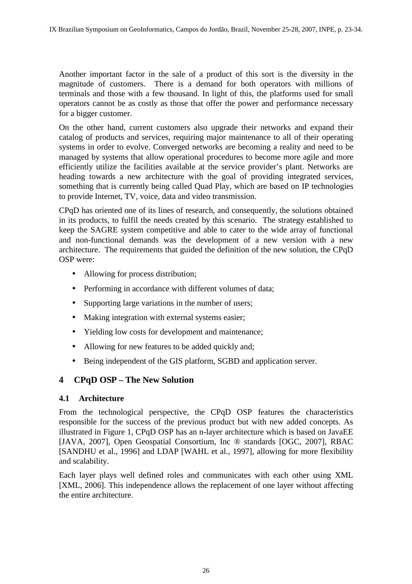Another important factor in the sale of a product of this sort is the diversity in the magnitude of customers. There is a demand for both operators with millions of terminals and those with a few thousand. In light of this, the platforms used for small operators cannot be as costly as those that offer the power and performance necessary for a bigger customer.

On the other hand, current customers also upgrade their networks and expand their catalog of products and services, requiring major maintenance to all of their operating systems in order to evolve. Converged networks are becoming a reality and need to be managed by systems that allow operational procedures to become more agile and more efficiently utilize the facilities available at the service provider's plant. Networks are heading towards a new architecture with the goal of providing integrated services, something that is currently being called Quad Play, which are based on IP technologies to provide Internet, TV, voice, data and video transmission.

CPqD has oriented one of its lines of research, and consequently, the solutions obtained in its products, to fulfil the needs created by this scenario. The strategy established to keep the SAGRE system competitive and able to cater to the wide array of functional and non-functional demands was the development of a new version with a new architecture. The requirements that guided the definition of the new solution, the CPqD OSP were:

- Allowing for process distribution;
- Performing in accordance with different volumes of data;
- Supporting large variations in the number of users;
- Making integration with external systems easier;
- Yielding low costs for development and maintenance;
- Allowing for new features to be added quickly and;
- Being independent of the GIS platform, SGBD and application server.

## **4 CPqD OSP – The New Solution**

#### **4.1 Architecture**

From the technological perspective, the CPqD OSP features the characteristics responsible for the success of the previous product but with new added concepts. As illustrated in [Figure](#page-4-0) 1, CPqD OSP has an n-layer architecture which is based on JavaEE [JAVA, 2007], Open Geospatial Consortium, Inc ® standards [OGC, 2007], RBAC [SANDHU et al., 1996] and LDAP [WAHL et al., 1997], allowing for more flexibility and scalability.

Each layer plays well defined roles and communicates with each other using XML [XML, 2006]. This independence allows the replacement of one layer without affecting the entire architecture.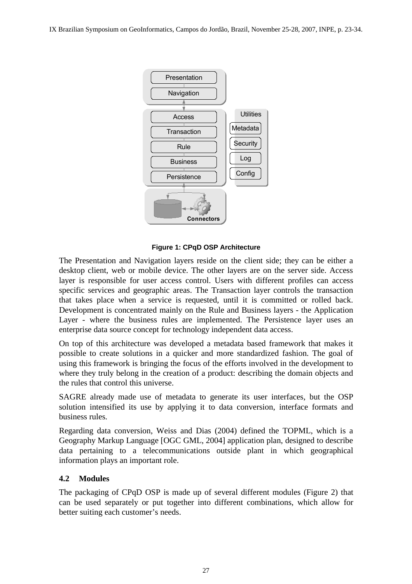

<span id="page-4-0"></span>**Figure 1: CPqD OSP Architecture**

The Presentation and Navigation layers reside on the client side; they can be either a desktop client, web or mobile device. The other layers are on the server side. Access layer is responsible for user access control. Users with different profiles can access specific services and geographic areas. The Transaction layer controls the transaction that takes place when a service is requested, until it is committed or rolled back. Development is concentrated mainly on the Rule and Business layers - the Application Layer - where the business rules are implemented. The Persistence layer uses an enterprise data source concept for technology independent data access.

On top of this architecture was developed a metadata based framework that makes it possible to create solutions in a quicker and more standardized fashion. The goal of using this framework is bringing the focus of the efforts involved in the development to where they truly belong in the creation of a product: describing the domain objects and the rules that control this universe.

SAGRE already made use of metadata to generate its user interfaces, but the OSP solution intensified its use by applying it to data conversion, interface formats and business rules.

Regarding data conversion, Weiss and Dias (2004) defined the TOPML, which is a Geography Markup Language [OGC GML, 2004] application plan, designed to describe data pertaining to a telecommunications outside plant in which geographical information plays an important role.

#### **4.2 Modules**

The packaging of CPqD OSP is made up of several different modules [\(Figure](#page-5-0) 2) that can be used separately or put together into different combinations, which allow for better suiting each customer's needs.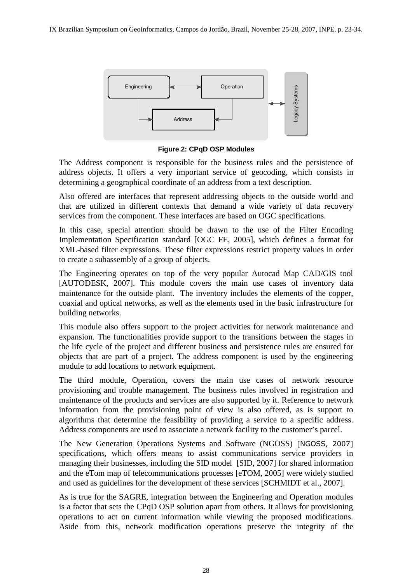

<span id="page-5-0"></span>**Figure 2: CPqD OSP Modules**

The Address component is responsible for the business rules and the persistence of address objects. It offers a very important service of geocoding, which consists in determining a geographical coordinate of an address from a text description.

Also offered are interfaces that represent addressing objects to the outside world and that are utilized in different contexts that demand a wide variety of data recovery services from the component. These interfaces are based on OGC specifications.

In this case, special attention should be drawn to the use of the Filter Encoding Implementation Specification standard [OGC FE, 2005], which defines a format for XML-based filter expressions. These filter expressions restrict property values in order to create a subassembly of a group of objects.

The Engineering operates on top of the very popular Autocad Map CAD/GIS tool [AUTODESK, 2007]. This module covers the main use cases of inventory data maintenance for the outside plant. The inventory includes the elements of the copper, coaxial and optical networks, as well as the elements used in the basic infrastructure for building networks.

This module also offers support to the project activities for network maintenance and expansion. The functionalities provide support to the transitions between the stages in the life cycle of the project and different business and persistence rules are ensured for objects that are part of a project. The address component is used by the engineering module to add locations to network equipment.

The third module, Operation, covers the main use cases of network resource provisioning and trouble management. The business rules involved in registration and maintenance of the products and services are also supported by it. Reference to network information from the provisioning point of view is also offered, as is support to algorithms that determine the feasibility of providing a service to a specific address. Address components are used to associate a network facility to the customer's parcel.

The New Generation Operations Systems and Software (NGOSS) [NGOSS, 2007] specifications, which offers means to assist communications service providers in managing their businesses, including the SID model [SID, 2007] for shared information and the eTom map of telecommunications processes [eTOM, 2005] were widely studied and used as guidelines for the development of these services [SCHMIDT et al., 2007].

As is true for the SAGRE, integration between the Engineering and Operation modules is a factor that sets the CPqD OSP solution apart from others. It allows for provisioning operations to act on current information while viewing the proposed modifications. Aside from this, network modification operations preserve the integrity of the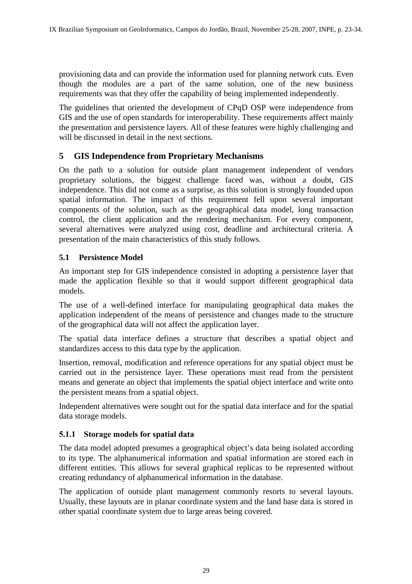provisioning data and can provide the information used for planning network cuts. Even though the modules are a part of the same solution, one of the new business requirements was that they offer the capability of being implemented independently.

The guidelines that oriented the development of CPqD OSP were independence from GIS and the use of open standards for interoperability. These requirements affect mainly the presentation and persistence layers. All of these features were highly challenging and will be discussed in detail in the next sections.

## **5 GIS Independence from Proprietary Mechanisms**

On the path to a solution for outside plant management independent of vendors proprietary solutions, the biggest challenge faced was, without a doubt, GIS independence. This did not come as a surprise, as this solution is strongly founded upon spatial information. The impact of this requirement fell upon several important components of the solution, such as the geographical data model, long transaction control, the client application and the rendering mechanism. For every component, several alternatives were analyzed using cost, deadline and architectural criteria. A presentation of the main characteristics of this study follows.

## **5.1 Persistence Model**

An important step for GIS independence consisted in adopting a persistence layer that made the application flexible so that it would support different geographical data models.

The use of a well-defined interface for manipulating geographical data makes the application independent of the means of persistence and changes made to the structure of the geographical data will not affect the application layer.

The spatial data interface defines a structure that describes a spatial object and standardizes access to this data type by the application.

Insertion, removal, modification and reference operations for any spatial object must be carried out in the persistence layer. These operations must read from the persistent means and generate an object that implements the spatial object interface and write onto the persistent means from a spatial object.

Independent alternatives were sought out for the spatial data interface and for the spatial data storage models.

#### **5.1.1 Storage models for spatial data**

The data model adopted presumes a geographical object's data being isolated according to its type. The alphanumerical information and spatial information are stored each in different entities. This allows for several graphical replicas to be represented without creating redundancy of alphanumerical information in the database.

The application of outside plant management commonly resorts to several layouts. Usually, these layouts are in planar coordinate system and the land base data is stored in other spatial coordinate system due to large areas being covered.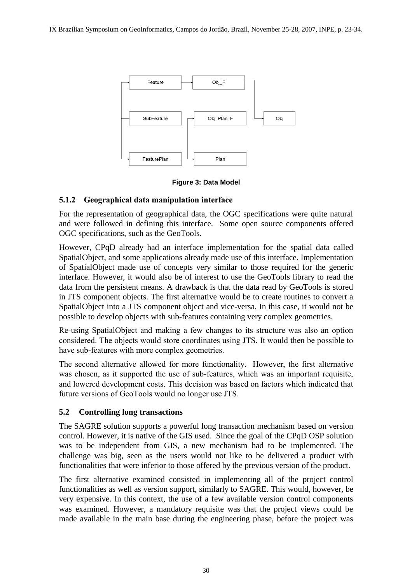

#### **Figure 3: Data Model**

#### **5.1.2 Geographical data manipulation interface**

For the representation of geographical data, the OGC specifications were quite natural and were followed in defining this interface. Some open source components offered OGC specifications, such as the GeoTools.

However, CPqD already had an interface implementation for the spatial data called SpatialObject, and some applications already made use of this interface. Implementation of SpatialObject made use of concepts very similar to those required for the generic interface. However, it would also be of interest to use the GeoTools library to read the data from the persistent means. A drawback is that the data read by GeoTools is stored in JTS component objects. The first alternative would be to create routines to convert a SpatialObject into a JTS component object and vice-versa. In this case, it would not be possible to develop objects with sub-features containing very complex geometries.

Re-using SpatialObject and making a few changes to its structure was also an option considered. The objects would store coordinates using JTS. It would then be possible to have sub-features with more complex geometries.

The second alternative allowed for more functionality. However, the first alternative was chosen, as it supported the use of sub-features, which was an important requisite, and lowered development costs. This decision was based on factors which indicated that future versions of GeoTools would no longer use JTS.

#### **5.2 Controlling long transactions**

The SAGRE solution supports a powerful long transaction mechanism based on version control. However, it is native of the GIS used. Since the goal of the CPqD OSP solution was to be independent from GIS, a new mechanism had to be implemented. The challenge was big, seen as the users would not like to be delivered a product with functionalities that were inferior to those offered by the previous version of the product.

The first alternative examined consisted in implementing all of the project control functionalities as well as version support, similarly to SAGRE. This would, however, be very expensive. In this context, the use of a few available version control components was examined. However, a mandatory requisite was that the project views could be made available in the main base during the engineering phase, before the project was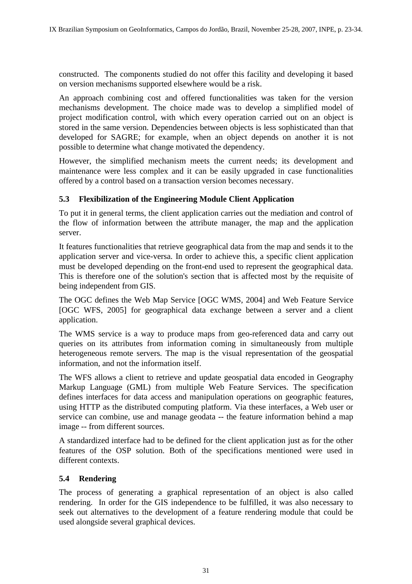constructed. The components studied do not offer this facility and developing it based on version mechanisms supported elsewhere would be a risk.

An approach combining cost and offered functionalities was taken for the version mechanisms development. The choice made was to develop a simplified model of project modification control, with which every operation carried out on an object is stored in the same version. Dependencies between objects is less sophisticated than that developed for SAGRE; for example, when an object depends on another it is not possible to determine what change motivated the dependency.

However, the simplified mechanism meets the current needs; its development and maintenance were less complex and it can be easily upgraded in case functionalities offered by a control based on a transaction version becomes necessary.

#### **5.3 Flexibilization of the Engineering Module Client Application**

To put it in general terms, the client application carries out the mediation and control of the flow of information between the attribute manager, the map and the application server.

It features functionalities that retrieve geographical data from the map and sends it to the application server and vice-versa. In order to achieve this, a specific client application must be developed depending on the front-end used to represent the geographical data. This is therefore one of the solution's section that is affected most by the requisite of being independent from GIS.

The OGC defines the Web Map Service [OGC WMS, 2004] and Web Feature Service [OGC WFS, 2005] for geographical data exchange between a server and a client application.

The WMS service is a way to produce maps from geo-referenced data and carry out queries on its attributes from information coming in simultaneously from multiple heterogeneous remote servers. The map is the visual representation of the geospatial information, and not the information itself.

The WFS allows a client to retrieve and update geospatial data encoded in Geography Markup Language (GML) from multiple Web Feature Services. The specification defines interfaces for data access and manipulation operations on geographic features, using HTTP as the distributed computing platform. Via these interfaces, a Web user or service can combine, use and manage geodata -- the feature information behind a map image -- from different sources.

A standardized interface had to be defined for the client application just as for the other features of the OSP solution. Both of the specifications mentioned were used in different contexts.

#### **5.4 Rendering**

The process of generating a graphical representation of an object is also called rendering. In order for the GIS independence to be fulfilled, it was also necessary to seek out alternatives to the development of a feature rendering module that could be used alongside several graphical devices.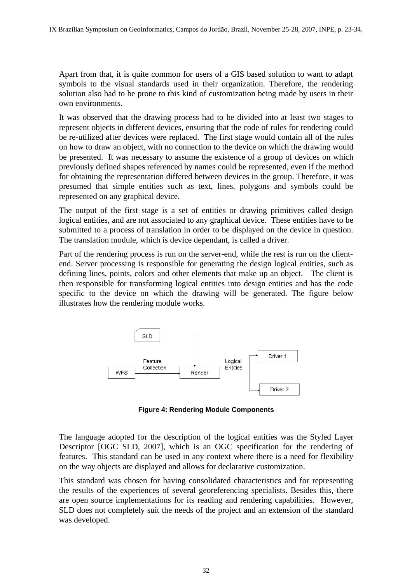Apart from that, it is quite common for users of a GIS based solution to want to adapt symbols to the visual standards used in their organization. Therefore, the rendering solution also had to be prone to this kind of customization being made by users in their own environments.

It was observed that the drawing process had to be divided into at least two stages to represent objects in different devices, ensuring that the code of rules for rendering could be re-utilized after devices were replaced. The first stage would contain all of the rules on how to draw an object, with no connection to the device on which the drawing would be presented. It was necessary to assume the existence of a group of devices on which previously defined shapes referenced by names could be represented, even if the method for obtaining the representation differed between devices in the group. Therefore, it was presumed that simple entities such as text, lines, polygons and symbols could be represented on any graphical device.

The output of the first stage is a set of entities or drawing primitives called design logical entities, and are not associated to any graphical device. These entities have to be submitted to a process of translation in order to be displayed on the device in question. The translation module, which is device dependant, is called a driver.

Part of the rendering process is run on the server-end, while the rest is run on the clientend. Server processing is responsible for generating the design logical entities, such as defining lines, points, colors and other elements that make up an object. The client is then responsible for transforming logical entities into design entities and has the code specific to the device on which the drawing will be generated. The figure below illustrates how the rendering module works.



**Figure 4: Rendering Module Components**

The language adopted for the description of the logical entities was the Styled Layer Descriptor [OGC SLD, 2007], which is an OGC specification for the rendering of features. This standard can be used in any context where there is a need for flexibility on the way objects are displayed and allows for declarative customization.

This standard was chosen for having consolidated characteristics and for representing the results of the experiences of several georeferencing specialists. Besides this, there are open source implementations for its reading and rendering capabilities. However, SLD does not completely suit the needs of the project and an extension of the standard was developed.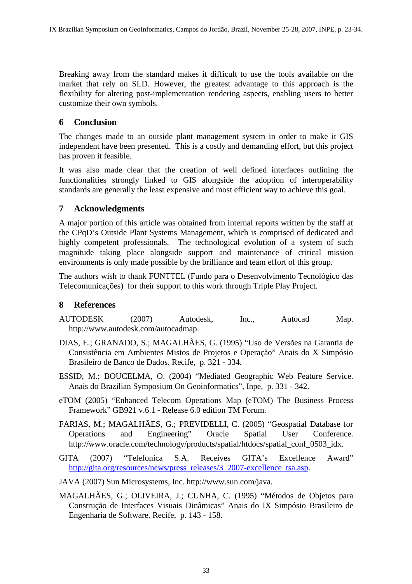Breaking away from the standard makes it difficult to use the tools available on the market that rely on SLD. However, the greatest advantage to this approach is the flexibility for altering post-implementation rendering aspects, enabling users to better customize their own symbols.

## **6 Conclusion**

The changes made to an outside plant management system in order to make it GIS independent have been presented. This is a costly and demanding effort, but this project has proven it feasible.

It was also made clear that the creation of well defined interfaces outlining the functionalities strongly linked to GIS alongside the adoption of interoperability standards are generally the least expensive and most efficient way to achieve this goal.

## **7 Acknowledgments**

A major portion of this article was obtained from internal reports written by the staff at the CPqD's Outside Plant Systems Management, which is comprised of dedicated and highly competent professionals. The technological evolution of a system of such magnitude taking place alongside support and maintenance of critical mission environments is only made possible by the brilliance and team effort of this group.

The authors wish to thank FUNTTEL (Fundo para o Desenvolvimento Tecnológico das Telecomunicações) for their support to this work through Triple Play Project.

## **8 References**

- AUTODESK (2007) Autodesk, Inc., Autocad Map. http://www.autodesk.com/autocadmap.
- DIAS, E.; GRANADO, S.; MAGALHÃES, G. (1995) "Uso de Versões na Garantia de Consistência em Ambientes Mistos de Projetos e Operação" Anais do X Simpósio Brasileiro de Banco de Dados. Recife, p. 321 - 334.
- ESSID, M.; BOUCELMA, O. (2004) "Mediated Geographic Web Feature Service. Anais do Brazilian Symposium On Geoinformatics", Inpe, p. 331 - 342.
- eTOM (2005) "Enhanced Telecom Operations Map (eTOM) The Business Process Framework" GB921 v.6.1 - Release 6.0 edition TM Forum.
- FARIAS, M.; MAGALHÃES, G.; PREVIDELLI, C. (2005) "Geospatial Database for Operations and Engineering" Oracle Spatial User Conference. http://www.oracle.com/technology/products/spatial/htdocs/spatial\_conf\_0503\_idx.
- GITA (2007) "Telefonica S.A. Receives GITA's Excellence Award" [http://gita.org/resources/news/press\\_releases/3\\_2007-excellence\\_tsa.asp.](http://gita.org/resources/news/press_releases/3_2007-excellence_tsa.asp)
- JAVA (2007) Sun Microsystems, Inc. http://www.sun.com/java.
- MAGALHÃES, G.; OLIVEIRA, J.; CUNHA, C. (1995) "Métodos de Objetos para Construção de Interfaces Visuais Dinâmicas" Anais do IX Simpósio Brasileiro de Engenharia de Software. Recife, p. 143 - 158.